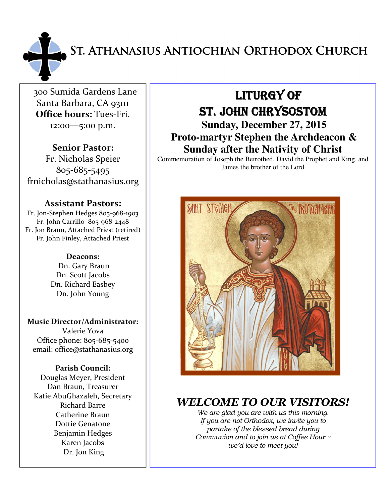

# ST. ATHANASIUS ANTIOCHIAN ORTHODOX CHURCH

 300 Sumida Gardens Lane Santa Barbara, CA 93111 Office hours: Tues-Fri. 12:00—5:00 p.m.

Senior Pastor: Fr. Nicholas Speier 805-685-5495 frnicholas@stathanasius.org

### Assistant Pastors:

Fr. Jon-Stephen Hedges 805-968-1903 Fr. John Carrillo 805-968-2448 Fr. Jon Braun, Attached Priest (retired) Fr. John Finley, Attached Priest

#### Deacons:

 Dn. Gary Braun Dn. Scott Jacobs Dn. Richard Easbey Dn. John Young

Music Director/Administrator: Valerie Yova Office phone: 805-685-5400 email: office@stathanasius.org

#### Parish Council:

Douglas Meyer, President Dan Braun, Treasurer Katie AbuGhazaleh, Secretary Richard Barre Catherine Braun Dottie Genatone Benjamin Hedges Karen Jacobs Dr. Jon King

# LITURGY OF ST. JOHN CHRYSOSTOM  **Sunday, December 27, 2015**

# **Proto-martyr Stephen the Archdeacon & Sunday after the Nativity of Christ**

Commemoration of Joseph the Betrothed, David the Prophet and King, and James the brother of the Lord



## WELCOME TO OUR VISITORS!

We are glad you are with us this morning. If you are not Orthodox, we invite you to partake of the blessed bread during Communion and to join us at Coffee Hour ~ we'd love to meet you!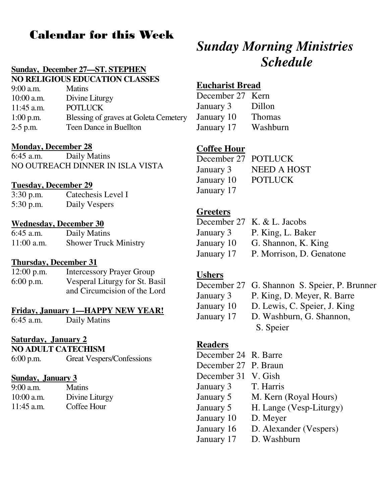# Calendar for this Week

### **Sunday, December 27—ST. STEPHEN**

### **NO RELIGIOUS EDUCATION CLASSES**

| $9:00$ a.m.  | <b>Matins</b>                         |
|--------------|---------------------------------------|
| $10:00$ a.m. | Divine Liturgy                        |
| $11:45$ a.m. | <b>POTLUCK</b>                        |
| $1:00$ p.m.  | Blessing of graves at Goleta Cemetery |
| $2-5$ p.m.   | Teen Dance in Buellton                |
|              |                                       |

#### **Monday, December 28**

6:45 a.m. Daily Matins NO OUTREACH DINNER IN ISLA VISTA

#### **Tuesday, December 29**

| $3:30$ p.m. | Catechesis Level I |
|-------------|--------------------|
| 5:30 p.m.   | Daily Vespers      |

#### **Wednesday, December 30**

| $6:45$ a.m.  | Daily Matins                 |
|--------------|------------------------------|
| $11:00$ a.m. | <b>Shower Truck Ministry</b> |

#### **Thursday, December 31**

| $12:00$ p.m. | <b>Intercessory Prayer Group</b> |
|--------------|----------------------------------|
| $6:00$ p.m.  | Vesperal Liturgy for St. Basil   |
|              | and Circumcision of the Lord     |

#### **Friday, January 1—HAPPY NEW YEAR!**

6:45 a.m. Daily Matins

### **Saturday, January 2**

### **NO ADULT CATECHISM**

6:00 p.m. Great Vespers/Confessions

### **Sunday, January 3**

| 9:00 a.m.    | <b>Matins</b>  |
|--------------|----------------|
| $10:00$ a.m. | Divine Liturgy |
| $11:45$ a.m. | Coffee Hour    |

# *Sunday Morning Ministries Schedule*

### **Eucharist Bread**

| December 27 Kern |               |
|------------------|---------------|
| January 3        | Dillon        |
| January 10       | <b>Thomas</b> |
| January 17       | Washburn      |

### **Coffee Hour**

| December 27 POTLUCK |                    |
|---------------------|--------------------|
| January 3           | <b>NEED A HOST</b> |
| January 10          | <b>POTLUCK</b>     |
| January 17          |                    |

### **Greeters**

|            | December 27 K. & L. Jacobs |
|------------|----------------------------|
| January 3  | P. King, L. Baker          |
| January 10 | G. Shannon, K. King        |
| January 17 | P. Morrison, D. Genatone   |

### **Ushers**

|            | December 27 G. Shannon S. Speier, P. Brunner |
|------------|----------------------------------------------|
| January 3  | P. King, D. Meyer, R. Barre                  |
| January 10 | D. Lewis, C. Speier, J. King                 |
| January 17 | D. Washburn, G. Shannon,                     |
|            | S. Speier                                    |

### **Readers**

| December 24 R. Barre |                         |
|----------------------|-------------------------|
| December 27 P. Braun |                         |
| December 31 V. Gish  |                         |
| January 3            | T. Harris               |
| January 5            | M. Kern (Royal Hours)   |
| January 5            | H. Lange (Vesp-Liturgy) |
| January 10           | D. Meyer                |
| January 16           | D. Alexander (Vespers)  |
| January 17           | D. Washburn             |
|                      |                         |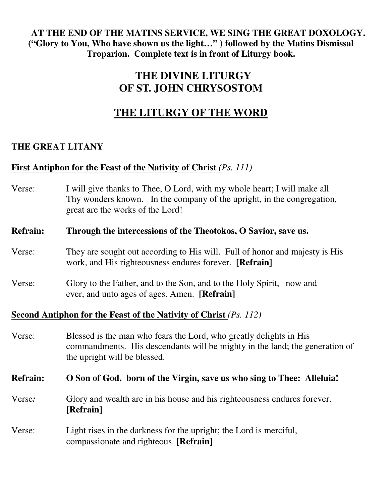### **AT THE END OF THE MATINS SERVICE, WE SING THE GREAT DOXOLOGY. ("Glory to You, Who have shown us the light…" ) followed by the Matins Dismissal Troparion. Complete text is in front of Liturgy book.**

### **THE DIVINE LITURGY OF ST. JOHN CHRYSOSTOM**

### **THE LITURGY OF THE WORD**

### **THE GREAT LITANY**

### **First Antiphon for the Feast of the Nativity of Christ** *(Ps. 111)*

- Verse: I will give thanks to Thee, O Lord, with my whole heart; I will make all Thy wonders known. In the company of the upright, in the congregation, great are the works of the Lord!
- **Refrain: Through the intercessions of the Theotokos, O Savior, save us.**
- Verse: They are sought out according to His will. Full of honor and majesty is His work, and His righteousness endures forever. **[Refrain]**
- Verse: Glory to the Father, and to the Son, and to the Holy Spirit, now and ever, and unto ages of ages. Amen. **[Refrain]**

### **Second Antiphon for the Feast of the Nativity of Christ** *(Ps. 112)*

- Verse: Blessed is the man who fears the Lord, who greatly delights in His commandments. His descendants will be mighty in the land; the generation of the upright will be blessed.
- **Refrain: O Son of God, born of the Virgin, save us who sing to Thee: Alleluia!**
- Verse*:* Glory and wealth are in his house and his righteousness endures forever. **[Refrain]**
- Verse: Light rises in the darkness for the upright; the Lord is merciful, compassionate and righteous. **[Refrain]**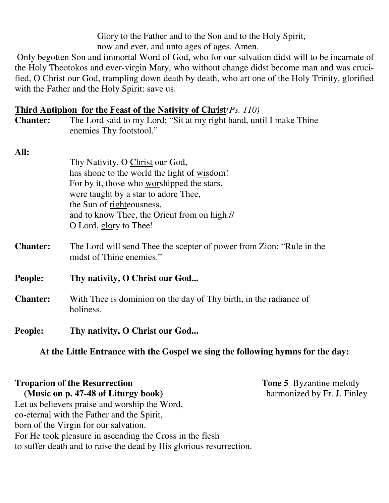Glory to the Father and to the Son and to the Holy Spirit, now and ever, and unto ages of ages. Amen.

Only begotten Son and immortal Word of God, who for our salvation didst will to be incarnate of the Holy Theotokos and ever-virgin Mary, who without change didst become man and was crucified, O Christ our God, trampling down death by death, who art one of the Holy Trinity, glorified with the Father and the Holy Spirit: save us.

### **Third Antiphon for the Feast of the Nativity of Christ***(Ps. 110)*

| <b>Chanter:</b> | The Lord said to my Lord: "Sit at my right hand, until I make Thine<br>enemies Thy footstool."                                                                                                                                                                              |
|-----------------|-----------------------------------------------------------------------------------------------------------------------------------------------------------------------------------------------------------------------------------------------------------------------------|
| All:            |                                                                                                                                                                                                                                                                             |
|                 | Thy Nativity, O Christ our God,<br>has shone to the world the light of wisdom!<br>For by it, those who worshipped the stars,<br>were taught by a star to adore Thee,<br>the Sun of righteousness,<br>and to know Thee, the Orient from on high.//<br>O Lord, glory to Thee! |
| <b>Chanter:</b> | The Lord will send Thee the scepter of power from Zion: "Rule in the<br>midst of Thine enemies."                                                                                                                                                                            |
| People:         | Thy nativity, O Christ our God                                                                                                                                                                                                                                              |
| <b>Chanter:</b> | With Thee is dominion on the day of Thy birth, in the radiance of<br>holiness.                                                                                                                                                                                              |
| <b>People:</b>  | Thy nativity, O Christ our God                                                                                                                                                                                                                                              |

**At the Little Entrance with the Gospel we sing the following hymns for the day:** 

**Troparion of the Resurrection** Tone 5 Byzantine melody **(Music on p. 47-48 of Liturgy book)** harmonized by Fr. J. Finley Let us believers praise and worship the Word, co-eternal with the Father and the Spirit, born of the Virgin for our salvation. For He took pleasure in ascending the Cross in the flesh to suffer death and to raise the dead by His glorious resurrection.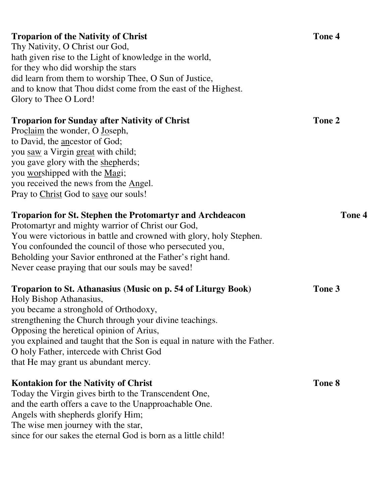### **Troparion of the Nativity of Christ Tone 4 Tone 4** Thy Nativity, O Christ our God, hath given rise to the Light of knowledge in the world, for they who did worship the stars did learn from them to worship Thee, O Sun of Justice, and to know that Thou didst come from the east of the Highest. Glory to Thee O Lord! **Troparion for Sunday after Nativity of Christ Tone 2 Tone 2** Proclaim the wonder, O Joseph, to David, the ancestor of God; you saw a Virgin great with child; you gave glory with the shepherds; you worshipped with the Magi; you received the news from the Angel. Pray to Christ God to save our souls! **Troparion for St. Stephen the Protomartyr and Archdeacon Tone 4** Protomartyr and mighty warrior of Christ our God, You were victorious in battle and crowned with glory, holy Stephen. You confounded the council of those who persecuted you, Beholding your Savior enthroned at the Father's right hand. Never cease praying that our souls may be saved! **Troparion to St. Athanasius (Music on p. 54 of Liturgy Book) Tone 3**  Holy Bishop Athanasius, you became a stronghold of Orthodoxy, strengthening the Church through your divine teachings. Opposing the heretical opinion of Arius, you explained and taught that the Son is equal in nature with the Father. O holy Father, intercede with Christ God that He may grant us abundant mercy. Kontakion for the Nativity of Christ Tone 8 Today the Virgin gives birth to the Transcendent One, and the earth offers a cave to the Unapproachable One. Angels with shepherds glorify Him; The wise men journey with the star,

since for our sakes the eternal God is born as a little child!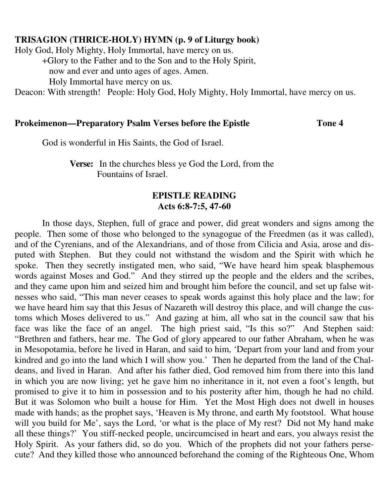#### **TRISAGION (THRICE-HOLY) HYMN (p. 9 of Liturgy book)**

Holy God, Holy Mighty, Holy Immortal, have mercy on us.

+Glory to the Father and to the Son and to the Holy Spirit,

now and ever and unto ages of ages. Amen.

Holy Immortal have mercy on us.

Deacon: With strength! People: Holy God, Holy Mighty, Holy Immortal, have mercy on us.

#### **Prokeimenon—Preparatory Psalm Verses before the Epistle Tone 4**

God is wonderful in His Saints, the God of Israel.

 **Verse:** In the churches bless ye God the Lord, from the Fountains of Israel.

### **EPISTLE READING Acts 6:8-7:5, 47-60**

In those days, Stephen, full of grace and power, did great wonders and signs among the people. Then some of those who belonged to the synagogue of the Freedmen (as it was called), and of the Cyrenians, and of the Alexandrians, and of those from Cilicia and Asia, arose and disputed with Stephen. But they could not withstand the wisdom and the Spirit with which he spoke. Then they secretly instigated men, who said, "We have heard him speak blasphemous words against Moses and God." And they stirred up the people and the elders and the scribes, and they came upon him and seized him and brought him before the council, and set up false witnesses who said, "This man never ceases to speak words against this holy place and the law; for we have heard him say that this Jesus of Nazareth will destroy this place, and will change the customs which Moses delivered to us." And gazing at him, all who sat in the council saw that his face was like the face of an angel. The high priest said, "Is this so?" And Stephen said: "Brethren and fathers, hear me. The God of glory appeared to our father Abraham, when he was in Mesopotamia, before he lived in Haran, and said to him, 'Depart from your land and from your kindred and go into the land which I will show you.' Then he departed from the land of the Chaldeans, and lived in Haran. And after his father died, God removed him from there into this land in which you are now living; yet he gave him no inheritance in it, not even a foot's length, but promised to give it to him in possession and to his posterity after him, though he had no child. But it was Solomon who built a house for Him. Yet the Most High does not dwell in houses made with hands; as the prophet says, 'Heaven is My throne, and earth My footstool. What house will you build for Me', says the Lord, 'or what is the place of My rest? Did not My hand make all these things?' You stiff-necked people, uncircumcised in heart and ears, you always resist the Holy Spirit. As your fathers did, so do you. Which of the prophets did not your fathers persecute? And they killed those who announced beforehand the coming of the Righteous One, Whom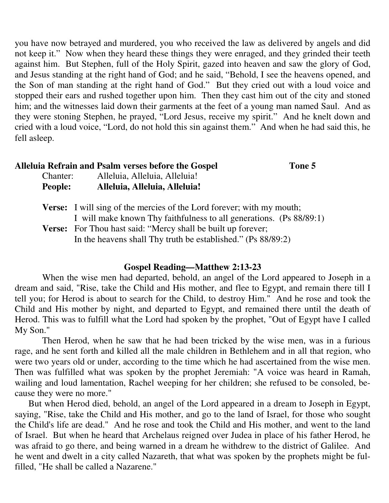you have now betrayed and murdered, you who received the law as delivered by angels and did not keep it." Now when they heard these things they were enraged, and they grinded their teeth against him. But Stephen, full of the Holy Spirit, gazed into heaven and saw the glory of God, and Jesus standing at the right hand of God; and he said, "Behold, I see the heavens opened, and the Son of man standing at the right hand of God." But they cried out with a loud voice and stopped their ears and rushed together upon him. Then they cast him out of the city and stoned him; and the witnesses laid down their garments at the feet of a young man named Saul. And as they were stoning Stephen, he prayed, "Lord Jesus, receive my spirit." And he knelt down and cried with a loud voice, "Lord, do not hold this sin against them." And when he had said this, he fell asleep.

|                | Alleluia Refrain and Psalm verses before the Gospel | Tone 5 |
|----------------|-----------------------------------------------------|--------|
| Chanter:       | Alleluia, Alleluia, Alleluia!                       |        |
| <b>People:</b> | Alleluia, Alleluia, Alleluia!                       |        |

**Verse:** I will sing of the mercies of the Lord forever; with my mouth; I will make known Thy faithfulness to all generations. (Ps 88/89:1) **Verse:** For Thou hast said: "Mercy shall be built up forever; In the heavens shall Thy truth be established." (Ps 88/89:2)

### **Gospel Reading***—***Matthew 2:13-23**

When the wise men had departed, behold, an angel of the Lord appeared to Joseph in a dream and said, "Rise, take the Child and His mother, and flee to Egypt, and remain there till I tell you; for Herod is about to search for the Child, to destroy Him." And he rose and took the Child and His mother by night, and departed to Egypt, and remained there until the death of Herod. This was to fulfill what the Lord had spoken by the prophet, "Out of Egypt have I called My Son."

Then Herod, when he saw that he had been tricked by the wise men, was in a furious rage, and he sent forth and killed all the male children in Bethlehem and in all that region, who were two years old or under, according to the time which he had ascertained from the wise men. Then was fulfilled what was spoken by the prophet Jeremiah: "A voice was heard in Ramah, wailing and loud lamentation, Rachel weeping for her children; she refused to be consoled, because they were no more."

But when Herod died, behold, an angel of the Lord appeared in a dream to Joseph in Egypt, saying, "Rise, take the Child and His mother, and go to the land of Israel, for those who sought the Child's life are dead." And he rose and took the Child and His mother, and went to the land of Israel. But when he heard that Archelaus reigned over Judea in place of his father Herod, he was afraid to go there, and being warned in a dream he withdrew to the district of Galilee. And he went and dwelt in a city called Nazareth, that what was spoken by the prophets might be fulfilled, "He shall be called a Nazarene."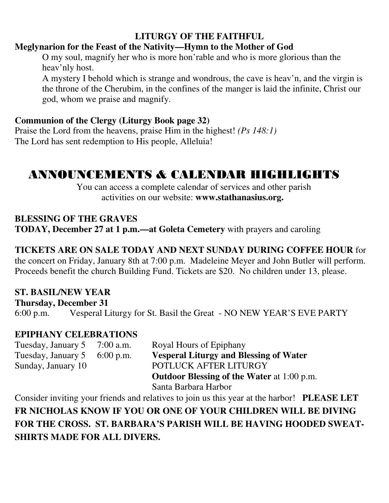### **LITURGY OF THE FAITHFUL**

### **Meglynarion for the Feast of the Nativity—Hymn to the Mother of God**

O my soul, magnify her who is more hon'rable and who is more glorious than the heav'nly host.

A mystery I behold which is strange and wondrous, the cave is heav'n, and the virgin is the throne of the Cherubim, in the confines of the manger is laid the infinite, Christ our god, whom we praise and magnify.

### **Communion of the Clergy (Liturgy Book page 32)**

Praise the Lord from the heavens, praise Him in the highest! *(Ps 148:1)* The Lord has sent redemption to His people, Alleluia!

# ANNOUNCEMENTS & CALENDAR HIGHLIGHTS

 You can access a complete calendar of services and other parish activities on our website: **www.stathanasius.org.** 

### **BLESSING OF THE GRAVES**

**TODAY, December 27 at 1 p.m.—at Goleta Cemetery** with prayers and caroling

### **TICKETS ARE ON SALE TODAY AND NEXT SUNDAY DURING COFFEE HOUR** for

the concert on Friday, January 8th at 7:00 p.m. Madeleine Meyer and John Butler will perform. Proceeds benefit the church Building Fund. Tickets are \$20. No children under 13, please.

### **ST. BASIL/NEW YEAR**

**Thursday, December 31** 

6:00 p.m. Vesperal Liturgy for St. Basil the Great - NO NEW YEAR'S EVE PARTY

### **EPIPHANY CELEBRATIONS**

| Tuesday, January $5$ 7:00 a.m. | Royal Hours of Epiphany                           |  |
|--------------------------------|---------------------------------------------------|--|
| Tuesday, January $5$ 6:00 p.m. | <b>Vesperal Liturgy and Blessing of Water</b>     |  |
| Sunday, January 10             | POTLUCK AFTER LITURGY                             |  |
|                                | <b>Outdoor Blessing of the Water</b> at 1:00 p.m. |  |
|                                | Santa Barbara Harbor                              |  |

Consider inviting your friends and relatives to join us this year at the harbor! **PLEASE LET FR NICHOLAS KNOW IF YOU OR ONE OF YOUR CHILDREN WILL BE DIVING FOR THE CROSS. ST. BARBARA'S PARISH WILL BE HAVING HOODED SWEAT-SHIRTS MADE FOR ALL DIVERS.**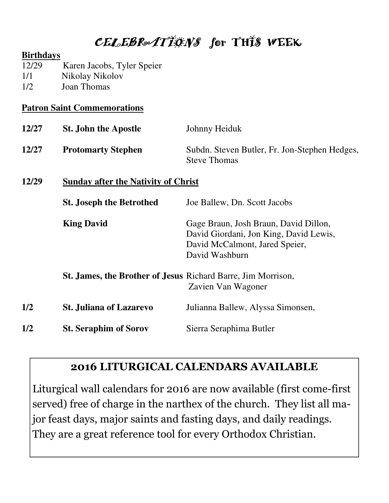# $CELEB$ Ro $ATI$ 0. N $S$  for This WEEK

### **Birthdays**

- 12/29 Karen Jacobs, Tyler Speier
- 1/1 Nikolay Nikolov
- 1/2 Joan Thomas

### **Patron Saint Commemorations**

| 12/27 | <b>St. John the Apostle</b>                                         | Johnny Heiduk                                                                                                                       |  |  |
|-------|---------------------------------------------------------------------|-------------------------------------------------------------------------------------------------------------------------------------|--|--|
| 12/27 | <b>Protomarty Stephen</b>                                           | Subdn. Steven Butler, Fr. Jon-Stephen Hedges,<br><b>Steve Thomas</b>                                                                |  |  |
| 12/29 | <b>Sunday after the Nativity of Christ</b>                          |                                                                                                                                     |  |  |
|       | <b>St. Joseph the Betrothed</b>                                     | Joe Ballew, Dn. Scott Jacobs                                                                                                        |  |  |
|       | <b>King David</b>                                                   | Gage Braun, Josh Braun, David Dillon,<br>David Giordani, Jon King, David Lewis,<br>David McCalmont, Jared Speier,<br>David Washburn |  |  |
|       | <b>St. James, the Brother of Jesus Richard Barre, Jim Morrison,</b> | Zavien Van Wagoner                                                                                                                  |  |  |
| 1/2   | <b>St. Juliana of Lazarevo</b>                                      | Julianna Ballew, Alyssa Simonsen,                                                                                                   |  |  |
| 1/2   | <b>St. Seraphim of Sorov</b>                                        | Sierra Seraphima Butler                                                                                                             |  |  |

### 2016 LITURGICAL CALENDARS AVAILABLE

Liturgical wall calendars for 2016 are now available (first come-first served) free of charge in the narthex of the church. They list all major feast days, major saints and fasting days, and daily readings. They are a great reference tool for every Orthodox Christian.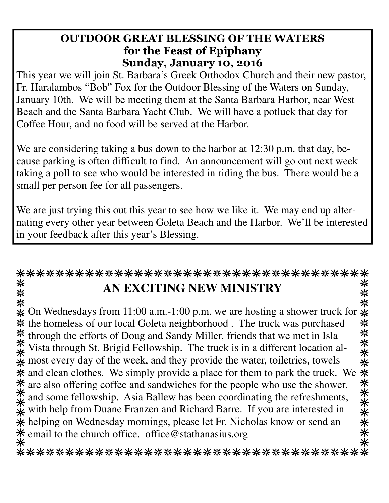### OUTDOOR GREAT BLESSING OF THE WATERS for the Feast of Epiphany Sunday, January 10, 2016

This year we will join St. Barbara's Greek Orthodox Church and their new pastor, Fr. Haralambos "Bob" Fox for the Outdoor Blessing of the Waters on Sunday, January 10th. We will be meeting them at the Santa Barbara Harbor, near West Beach and the Santa Barbara Yacht Club. We will have a potluck that day for Coffee Hour, and no food will be served at the Harbor.

We are considering taking a bus down to the harbor at 12:30 p.m. that day, because parking is often difficult to find. An announcement will go out next week taking a poll to see who would be interested in riding the bus. There would be a small per person fee for all passengers.

We are just trying this out this year to see how we like it. We may end up alternating every other year between Goleta Beach and the Harbor. We'll be interested in your feedback after this year's Blessing.

# \*\*\*\*\*\*\*\*\*\*\*\*\*\*\*\*\*\*\*\*\*\*\*\*\*\*\*\*\*\*\*\*\*\*\*\* **AN EXCITING NEW MINISTRY**

On Wednesdays from 11:00 a.m.-1:00 p.m. we are hosting a shower truck for 米米米米米 \* the homeless of our local Goleta neighborhood. The truck was purchased 米 through the efforts of Doug and Sandy Miller, friends that we met in Isla Vista through St. Brigid Fellowship. The truck is in a different location alwe most every day of the week, and they provide the water, toiletries, towels \* and clean clothes. We simply provide a place for them to park the truck. We \*<br>\* are also offering coffee and sandwiches for the people who use the shower,<br>\* \* and some fellowship. Asia Ballew has been coordinating the re are also offering coffee and sandwiches for the people who use the shower, ⋇ and some fellowship. Asia Ballew has been coordinating the refreshments, ⋇ with help from Duane Franzen and Richard Barre. If you are interested in helping on Wednesday mornings, please let Fr. Nicholas know or send an  $*$  email to the church office. office@stathanasius.org ⋇

\*\*\*\*\*\*\*\*\*\*\*\*\*\*\*\*\*\*\*\*\*\*\*\*\*\*\*\*\*\*\*\*\*\*\*\*\*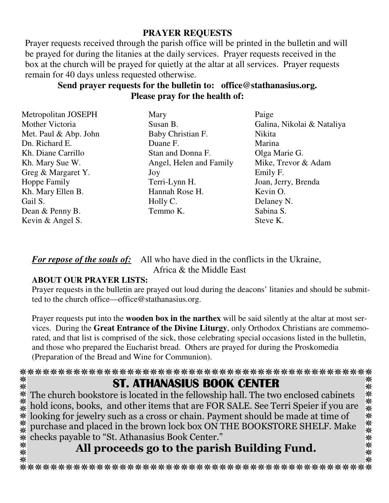### **PRAYER REQUESTS**

Prayer requests received through the parish office will be printed in the bulletin and will be prayed for during the litanies at the daily services. Prayer requests received in the box at the church will be prayed for quietly at the altar at all services. Prayer requests remain for 40 days unless requested otherwise.

### **Send prayer requests for the bulletin to: office@stathanasius.org. Please pray for the health of:**

| Metropolitan JOSEPH   | Mary                    | Paige                      |
|-----------------------|-------------------------|----------------------------|
| Mother Victoria       | Susan B.                | Galina, Nikolai & Nataliya |
| Met. Paul & Abp. John | Baby Christian F.       | Nikita                     |
| Dn. Richard E.        | Duane F.                | Marina                     |
| Kh. Diane Carrillo    | Stan and Donna F.       | Olga Marie G.              |
| Kh. Mary Sue W.       | Angel, Helen and Family | Mike, Trevor & Adam        |
| Greg & Margaret Y.    | Joy                     | Emily F.                   |
| Hoppe Family          | Terri-Lynn H.           | Joan, Jerry, Brenda        |
| Kh. Mary Ellen B.     | Hannah Rose H.          | Kevin O.                   |
| Gail S.               | Holly C.                | Delaney N.                 |
| Dean & Penny B.       | Temmo K.                | Sabina S.                  |
| Kevin & Angel S.      |                         | Steve K.                   |

#### *For repose of the souls of:* All who have died in the conflicts in the Ukraine, Africa & the Middle East

### **ABOUT OUR PRAYER LISTS:**

Prayer requests in the bulletin are prayed out loud during the deacons' litanies and should be submitted to the church office—office@stathanasius.org.

Prayer requests put into the **wooden box in the narthex** will be said silently at the altar at most services. During the **Great Entrance of the Divine Liturgy**, only Orthodox Christians are commemorated, and that list is comprised of the sick, those celebrating special occasions listed in the bulletin, and those who prepared the Eucharist bread. Others are prayed for during the Proskomedia (Preparation of the Bread and Wine for Communion).

⋇

### ST. ATHANASIUS BOOK CENTER

⋇

\*\*\*\*\* 米米米米米米米米米米 The church bookstore is located in the fellowship hall. The two enclosed cabinets hold icons, books, and other items that are FOR SALE. See Terri Speier if you are 米 looking for jewelry such as a cross or chain. Payment should be made at time of \*\*\*\*\*\*\* purchase and placed in the brown lock box ON THE BOOKSTORE SHELF. Make checks payable to "St. Athanasius Book Center."

# All proceeds go to the parish Building Fund.